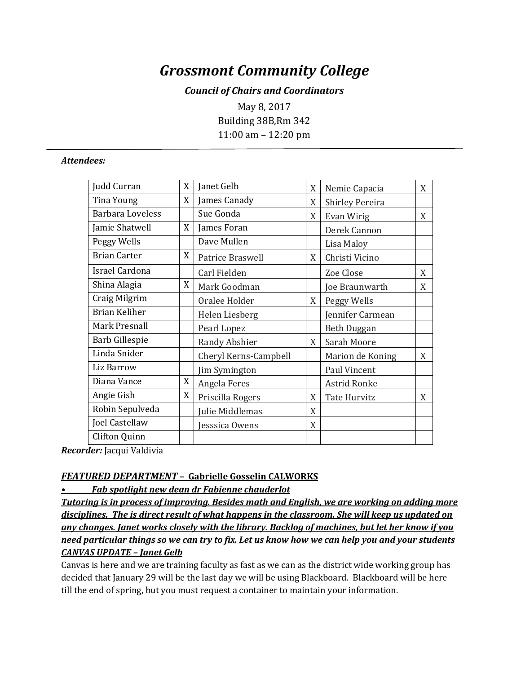# *Grossmont Community College*

## *Council of Chairs and Coordinators*

May 8, 2017 Building 38B,Rm 342 11:00 am – 12:20 pm

#### *Attendees:*

| Judd Curran             | X | Janet Gelb            | X | Nemie Capacia          | X |
|-------------------------|---|-----------------------|---|------------------------|---|
| Tina Young              | X | James Canady          | X | <b>Shirley Pereira</b> |   |
| <b>Barbara Loveless</b> |   | Sue Gonda             | X | Evan Wirig             | X |
| Jamie Shatwell          | X | James Foran           |   | Derek Cannon           |   |
| Peggy Wells             |   | Dave Mullen           |   | Lisa Maloy             |   |
| <b>Brian Carter</b>     | X | Patrice Braswell      | X | Christi Vicino         |   |
| Israel Cardona          |   | Carl Fielden          |   | Zoe Close              | X |
| Shina Alagia            | X | Mark Goodman          |   | Joe Braunwarth         | X |
| Craig Milgrim           |   | Oralee Holder         | X | Peggy Wells            |   |
| <b>Brian Keliher</b>    |   | Helen Liesberg        |   | Jennifer Carmean       |   |
| Mark Presnall           |   | Pearl Lopez           |   | <b>Beth Duggan</b>     |   |
| Barb Gillespie          |   | Randy Abshier         | X | Sarah Moore            |   |
| Linda Snider            |   | Cheryl Kerns-Campbell |   | Marion de Koning       | X |
| Liz Barrow              |   | Jim Symington         |   | Paul Vincent           |   |
| Diana Vance             | X | Angela Feres          |   | Astrid Ronke           |   |
| Angie Gish              | X | Priscilla Rogers      | X | <b>Tate Hurvitz</b>    | X |
| Robin Sepulveda         |   | Julie Middlemas       | X |                        |   |
| Joel Castellaw          |   | esssica Owens         | X |                        |   |
| <b>Clifton Quinn</b>    |   |                       |   |                        |   |

*Recorder:* Jacqui Valdivia

### *FEATURED DEPARTMENT* **– Gabrielle Gosselin CALWORKS**

*• Fab spotlight new dean dr Fabienne chauderlot*

*Tutoring is in process of improving. Besides math and English, we are working on adding more disciplines. The is direct result of what happens in the classroom. She will keep us updated on any changes. Janet works closely with the library. Backlog of machines, but let her know if you need particular things so we can try to fix. Let us know how we can help you and your students CANVAS UPDATE – Janet Gelb*

Canvas is here and we are training faculty as fast as we can as the district wide working group has decided that January 29 will be the last day we will be using Blackboard. Blackboard will be here till the end of spring, but you must request a container to maintain your information.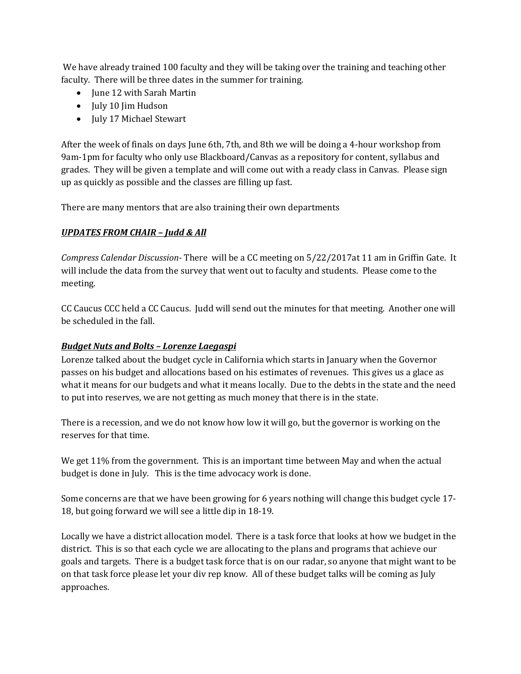We have already trained 100 faculty and they will be taking over the training and teaching other faculty. There will be three dates in the summer for training.

- June 12 with Sarah Martin
- July 10 Jim Hudson
- July 17 Michael Stewart

After the week of finals on days June 6th, 7th, and 8th we will be doing a 4-hour workshop from 9am-1pm for faculty who only use Blackboard/Canvas as a repository for content, syllabus and grades. They will be given a template and will come out with a ready class in Canvas. Please sign up as quickly as possible and the classes are filling up fast.

There are many mentors that are also training their own departments

## *UPDATES FROM CHAIR – Judd & All*

*Compress Calendar Discussion-* There will be a CC meeting on 5/22/2017at 11 am in Griffin Gate. It will include the data from the survey that went out to faculty and students. Please come to the meeting.

CC Caucus CCC held a CC Caucus. Judd will send out the minutes for that meeting. Another one will be scheduled in the fall.

## *Budget Nuts and Bolts – Lorenze Laegaspi*

Lorenze talked about the budget cycle in California which starts in January when the Governor passes on his budget and allocations based on his estimates of revenues. This gives us a glace as what it means for our budgets and what it means locally. Due to the debts in the state and the need to put into reserves, we are not getting as much money that there is in the state.

There is a recession, and we do not know how low it will go, but the governor is working on the reserves for that time.

We get 11% from the government. This is an important time between May and when the actual budget is done in July. This is the time advocacy work is done.

Some concerns are that we have been growing for 6 years nothing will change this budget cycle 17- 18, but going forward we will see a little dip in 18-19.

Locally we have a district allocation model. There is a task force that looks at how we budget in the district. This is so that each cycle we are allocating to the plans and programs that achieve our goals and targets. There is a budget task force that is on our radar, so anyone that might want to be on that task force please let your div rep know. All of these budget talks will be coming as July approaches.